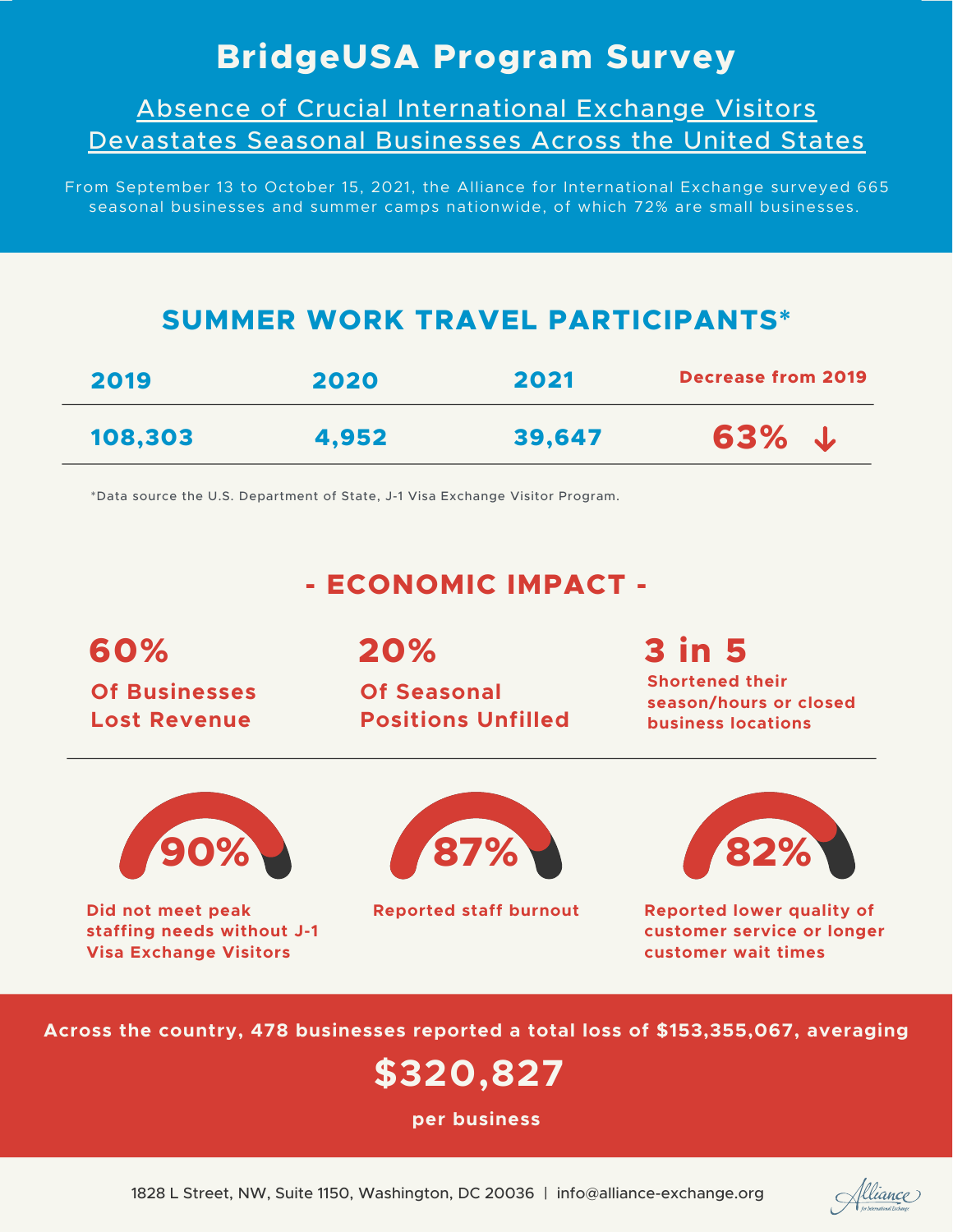## **BridgeUSA Program Survey**

Absence of Crucial International Exchange Visitors Devastates Seasonal Businesses Across the United States

From September 13 to October 15, 2021, the Alliance for International Exchange surveyed 665 seasonal businesses and summer camps nationwide, of which 72% are small businesses.

### **SUMMER WORK TRAVEL PARTICIPANTS\***

| 2019    | 2020  | 2021   | <b>Decrease from 2019</b> |
|---------|-------|--------|---------------------------|
| 108,303 | 4.952 | 39,647 | $63\%$ $\downarrow$       |

\*Data source the U.S. Department of State, J-1 Visa Exchange Visitor Program.

## **- ECONOMIC IMPACT -**

**60% Of Businesses Lost Revenue**

**20%**

**Of Seasonal Positions Unfilled**

# **3 in 5**

**Shortened their season/hours or closed business locations**



**Did not meet peak staffing needs without J-1 Visa Exchange Visitors**





**Reported staff burnout Reported lower quality of customer service or longer customer wait times**

**Across the country, 478 businesses reported a total loss of \$153,355,067, averaging**

## **\$320,827**

**per business**

<u>flliance</u>